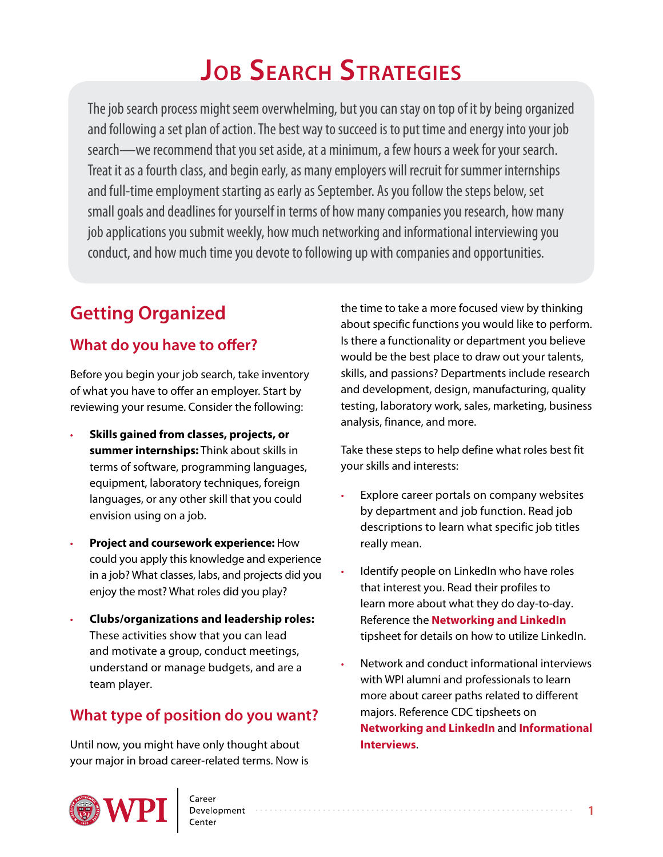The job search process might seem overwhelming, but you can stay on top of it by being organized and following a set plan of action. The best way to succeed is to put time and energy into your job search—we recommend that you set aside, at a minimum, a few hours a week for your search. Treat it as a fourth class, and begin early, as many employers will recruit for summer internships and full-time employment starting as early as September. As you follow the steps below, set small goals and deadlines for yourself in terms of how many companies you research, how many job applications you submit weekly, how much networking and informational interviewing you conduct, and how much time you devote to following up with companies and opportunities.

# **Getting Organized**

# **What do you have to offer?**

Before you begin your job search, take inventory of what you have to offer an employer. Start by reviewing your resume. Consider the following:

- **Skills gained from classes, projects, or summer internships:** Think about skills in terms of software, programming languages, equipment, laboratory techniques, foreign languages, or any other skill that you could envision using on a job.
- **Project and coursework experience:** How could you apply this knowledge and experience in a job? What classes, labs, and projects did you enjoy the most? What roles did you play?
- **Clubs/organizations and leadership roles:** These activities show that you can lead and motivate a group, conduct meetings, understand or manage budgets, and are a team player.

# **What type of position do you want?**

Until now, you might have only thought about your major in broad career-related terms. Now is the time to take a more focused view by thinking about specific functions you would like to perform. Is there a functionality or department you believe would be the best place to draw out your talents, skills, and passions? Departments include research and development, design, manufacturing, quality testing, laboratory work, sales, marketing, business analysis, finance, and more.

Take these steps to help define what roles best fit your skills and interests:

- Explore career portals on company websites by department and job function. Read job descriptions to learn what specific job titles really mean.
- Identify people on LinkedIn who have roles that interest you. Read their profiles to learn more about what they do day-to-day. Reference the **[Networking and LinkedIn](http://www.wpi.edu/Images/CMS/CDC/Networking-LinkedIn.pdf)** tipsheet for details on how to utilize LinkedIn.
- Network and conduct informational interviews with WPI alumni and professionals to learn more about career paths related to different majors. Reference CDC tipsheets on **[Networking and LinkedIn](http://www.wpi.edu/Images/CMS/CDC/Networking-LinkedIn.pdf)** and **[Informational](http://www.wpi.edu/Images/CMS/CDC/Informational-interviews.pdf) [Interviews](http://www.wpi.edu/Images/CMS/CDC/Informational-interviews.pdf)**.

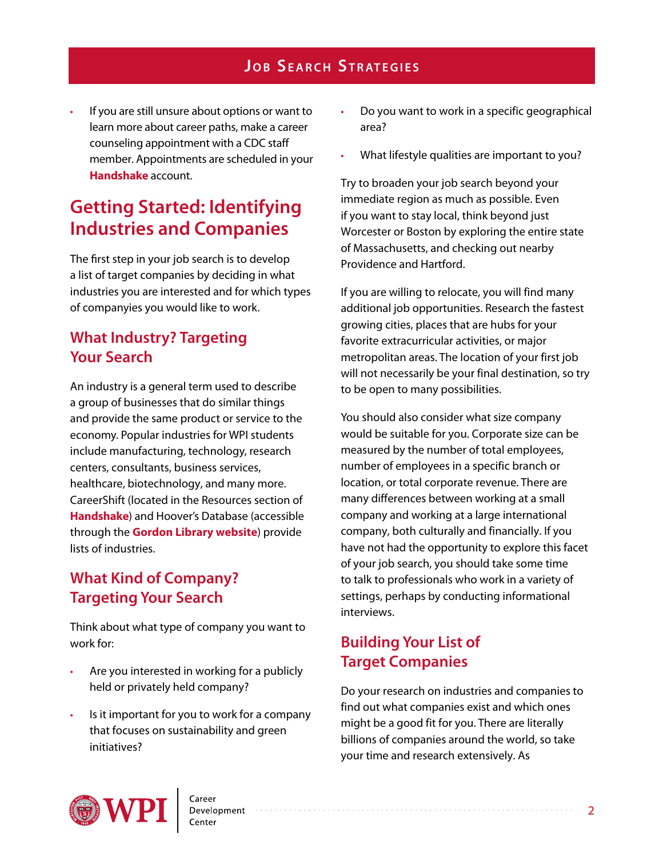If you are still unsure about options or want to learn more about career paths, make a career counseling appointment with a CDC staff member. Appointments are scheduled in your **[Handshake](wpi.joinhandshake.com)** account.

# **Getting Started: Identifying Industries and Companies**

The first step in your job search is to develop a list of target companies by deciding in what industries you are interested and for which types of companyies you would like to work.

# **What Industry? Targeting Your Search**

An industry is a general term used to describe a group of businesses that do similar things and provide the same product or service to the economy. Popular industries for WPI students include manufacturing, technology, research centers, consultants, business services, healthcare, biotechnology, and many more. CareerShift (located in the Resources section of **[Handshake](wpi.joinhandshake.com)**) and Hoover's Database (accessible through the **[Gordon Library](http://libguides.wpi.edu/company) website**) provide lists of industries.

# **What Kind of Company? Targeting Your Search**

Think about what type of company you want to work for:

- Are you interested in working for a publicly held or privately held company?
- Is it important for you to work for a company that focuses on sustainability and green initiatives?
- Do you want to work in a specific geographical area?
- What lifestyle qualities are important to you?

Try to broaden your job search beyond your immediate region as much as possible. Even if you want to stay local, think beyond just Worcester or Boston by exploring the entire state of Massachusetts, and checking out nearby Providence and Hartford.

If you are willing to relocate, you will find many additional job opportunities. Research the fastest growing cities, places that are hubs for your favorite extracurricular activities, or major metropolitan areas. The location of your first job will not necessarily be your final destination, so try to be open to many possibilities.

You should also consider what size company would be suitable for you. Corporate size can be measured by the number of total employees, number of employees in a specific branch or location, or total corporate revenue. There are many differences between working at a small company and working at a large international company, both culturally and financially. If you have not had the opportunity to explore this facet of your job search, you should take some time to talk to professionals who work in a variety of settings, perhaps by conducting informational interviews.

# **Building Your List of Target Companies**

Do your research on industries and companies to find out what companies exist and which ones might be a good fit for you. There are literally billions of companies around the world, so take your time and research extensively. As

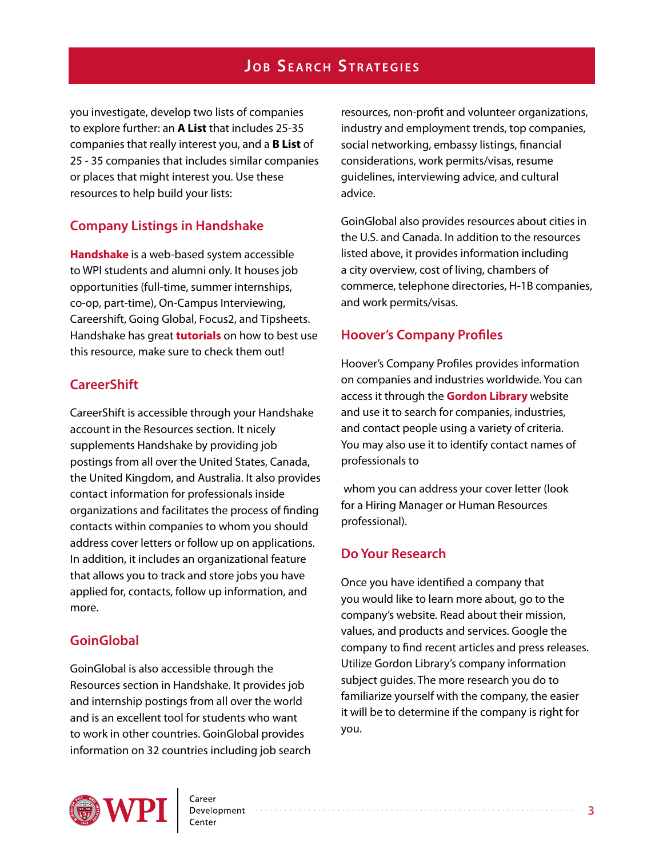you investigate, develop two lists of companies to explore further: an **A List** that includes 25-35 companies that really interest you, and a **B List** of 25 - 35 companies that includes similar companies or places that might interest you. Use these resources to help build your lists:

#### **Company Listings in Handshake**

**[Handshake](wpi.joinhandshake.com)** is a web-based system accessible to WPI students and alumni only. It houses job opportunities (full-time, summer internships, co-op, part-time), On-Campus Interviewing, Careershift, Going Global, Focus2, and Tipsheets. Handshake has great **[tutorials](https://joinhandshake.zendesk.com/hc/en-us)** on how to best use this resource, make sure to check them out!

#### **CareerShift**

CareerShift is accessible through your Handshake account in the Resources section. It nicely supplements Handshake by providing job postings from all over the United States, Canada, the United Kingdom, and Australia. It also provides contact information for professionals inside organizations and facilitates the process of finding contacts within companies to whom you should address cover letters or follow up on applications. In addition, it includes an organizational feature that allows you to track and store jobs you have applied for, contacts, follow up information, and more.

#### **GoinGlobal**

GoinGlobal is also accessible through the Resources section in Handshake. It provides job and internship postings from all over the world and is an excellent tool for students who want to work in other countries. GoinGlobal provides information on 32 countries including job search resources, non-profit and volunteer organizations, industry and employment trends, top companies, social networking, embassy listings, financial considerations, work permits/visas, resume guidelines, interviewing advice, and cultural advice.

GoinGlobal also provides resources about cities in the U.S. and Canada. In addition to the resources listed above, it provides information including a city overview, cost of living, chambers of commerce, telephone directories, H-1B companies, and work permits/visas.

#### **Hoover's Company Profiles**

Hoover's Company Profiles provides information on companies and industries worldwide. You can access it through the **[Gordon Library](http://libguides.wpi.edu/company)** website and use it to search for companies, industries, and contact people using a variety of criteria. You may also use it to identify contact names of professionals to

 whom you can address your cover letter (look for a Hiring Manager or Human Resources professional).

#### **Do Your Research**

Once you have identified a company that you would like to learn more about, go to the company's website. Read about their mission, values, and products and services. Google the company to find recent articles and press releases. Utilize Gordon Library's company information subject guides. The more research you do to familiarize yourself with the company, the easier it will be to determine if the company is right for you.

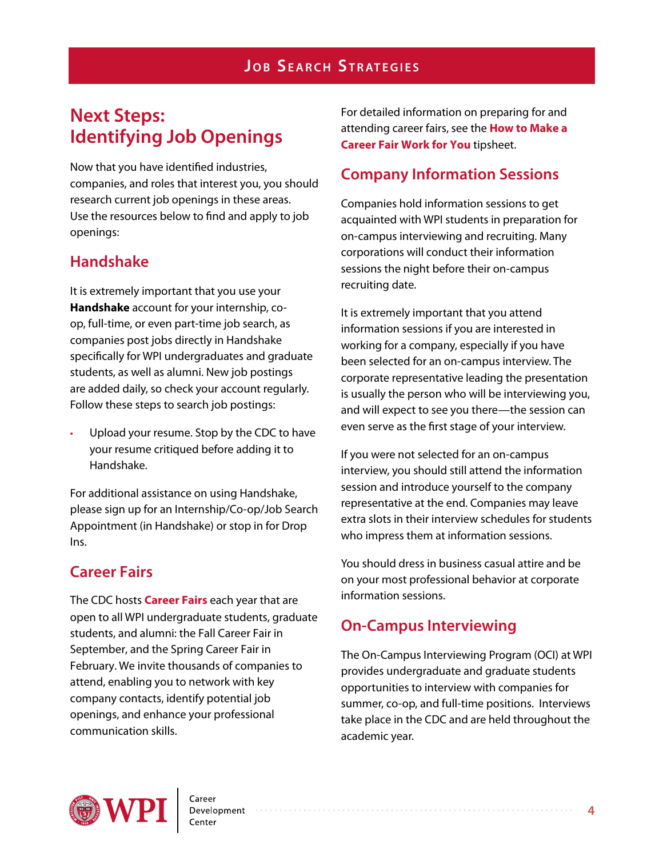# **Next Steps: Identifying Job Openings**

Now that you have identified industries, companies, and roles that interest you, you should research current job openings in these areas. Use the resources below to find and apply to job openings:

# **Handshake**

It is extremely important that you use your **Handshake** account for your internship, coop, full-time, or even part-time job search, as companies post jobs directly in Handshake specifically for WPI undergraduates and graduate students, as well as alumni. New job postings are added daily, so check your account regularly. Follow these steps to search job postings:

Upload your resume. Stop by the CDC to have your resume critiqued before adding it to Handshake.

For additional assistance on using Handshake, please sign up for an Internship/Co-op/Job Search Appointment (in Handshake) or stop in for Drop Ins.

# **Career Fairs**

The CDC hosts **C[areer](http://www.wpi.edu/offices/cdc/career-fairs.html) Fairs** each year that are open to all WPI undergraduate students, graduate students, and alumni: the Fall Career Fair in September, and the Spring Career Fair in February. We invite thousands of companies to attend, enabling you to network with key company contacts, identify potential job openings, and enhance your professional communication skills.

For detailed information on preparing for and attending career fairs, see the **[How to Make a](http://www.wpi.edu/Images/CMS/CDC/Career-fair.pdf)  [Career Fair Work for You](http://www.wpi.edu/Images/CMS/CDC/Career-fair.pdf)** tipsheet.

# **Company Information Sessions**

Companies hold information sessions to get acquainted with WPI students in preparation for on-campus interviewing and recruiting. Many corporations will conduct their information sessions the night before their on-campus recruiting date.

It is extremely important that you attend information sessions if you are interested in working for a company, especially if you have been selected for an on-campus interview. The corporate representative leading the presentation is usually the person who will be interviewing you, and will expect to see you there—the session can even serve as the first stage of your interview.

If you were not selected for an on-campus interview, you should still attend the information session and introduce yourself to the company representative at the end. Companies may leave extra slots in their interview schedules for students who impress them at information sessions.

You should dress in business casual attire and be on your most professional behavior at corporate information sessions.

# **On-Campus Interviewing**

The On-Campus Interviewing Program (OCI) at WPI provides undergraduate and graduate students opportunities to interview with companies for summer, co-op, and full-time positions. Interviews take place in the CDC and are held throughout the academic year.

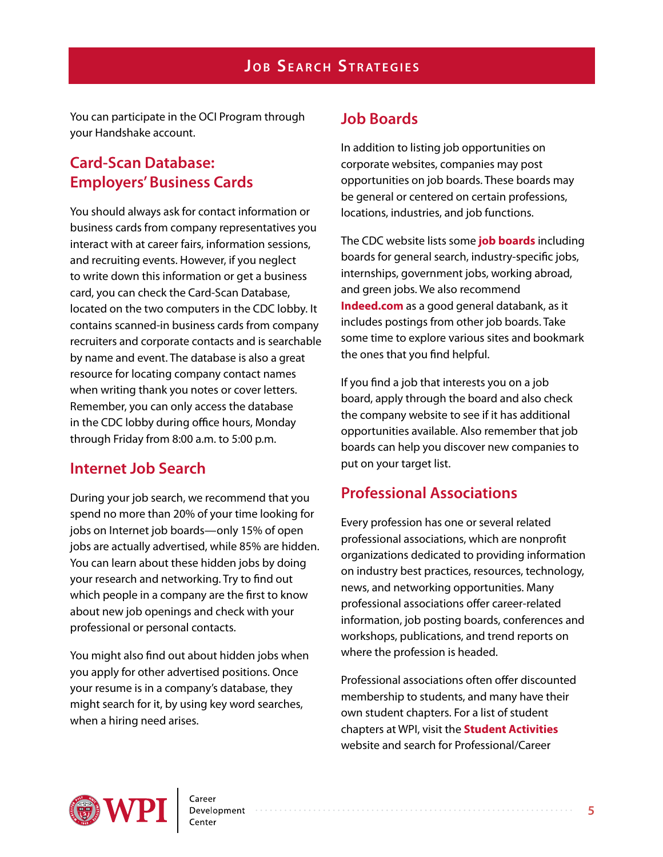You can participate in the OCI Program through your Handshake account.

# **Card-Scan Database: Employers' Business Cards**

You should always ask for contact information or business cards from company representatives you interact with at career fairs, information sessions, and recruiting events. However, if you neglect to write down this information or get a business card, you can check the Card-Scan Database, located on the two computers in the CDC lobby. It contains scanned-in business cards from company recruiters and corporate contacts and is searchable by name and event. The database is also a great resource for locating company contact names when writing thank you notes or cover letters. Remember, you can only access the database in the CDC lobby during office hours, Monday through Friday from 8:00 a.m. to 5:00 p.m.

### **Internet Job Search**

During your job search, we recommend that you spend no more than 20% of your time looking for jobs on Internet job boards—only 15% of open jobs are actually advertised, while 85% are hidden. You can learn about these hidden jobs by doing your research and networking. Try to find out which people in a company are the first to know about new job openings and check with your professional or personal contacts.

You might also find out about hidden jobs when you apply for other advertised positions. Once your resume is in a company's database, they might search for it, by using key word searches, when a hiring need arises.

# **Job Boards**

In addition to listing job opportunities on corporate websites, companies may post opportunities on job boards. These boards may be general or centered on certain professions, locations, industries, and job functions.

The CDC website lists some **[job boards](http://www.job-hunt.org/)** including boards for general search, industry-specific jobs, internships, government jobs, working abroad, and green jobs. We also recommend **[Indeed.com](http://www.indeed.com/)** as a good general databank, as it includes postings from other job boards. Take some time to explore various sites and bookmark the ones that you find helpful.

If you find a job that interests you on a job board, apply through the board and also check the company website to see if it has additional opportunities available. Also remember that job boards can help you discover new companies to put on your target list.

# **Professional Associations**

Every profession has one or several related professional associations, which are nonprofit organizations dedicated to providing information on industry best practices, resources, technology, news, and networking opportunities. Many professional associations offer career-related information, job posting boards, conferences and workshops, publications, and trend reports on where the profession is headed.

Professional associations often offer discounted membership to students, and many have their own student chapters. For a list of student chapters at WPI, visit the **[Student Activities](http://www.wpi.edu/offices/sao/)**  website and search for Professional/Career

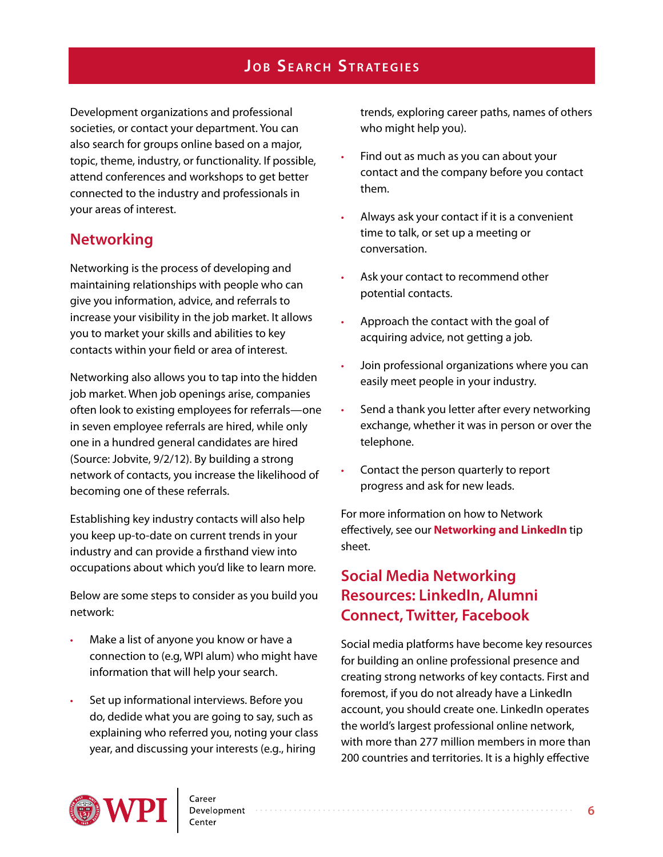Development organizations and professional societies, or contact your department. You can also search for groups online based on a major, topic, theme, industry, or functionality. If possible, attend conferences and workshops to get better connected to the industry and professionals in your areas of interest.

### **Networking**

Networking is the process of developing and maintaining relationships with people who can give you information, advice, and referrals to increase your visibility in the job market. It allows you to market your skills and abilities to key contacts within your field or area of interest.

Networking also allows you to tap into the hidden job market. When job openings arise, companies often look to existing employees for referrals—one in seven employee referrals are hired, while only one in a hundred general candidates are hired (Source: Jobvite, 9/2/12). By building a strong network of contacts, you increase the likelihood of becoming one of these referrals.

Establishing key industry contacts will also help you keep up-to-date on current trends in your industry and can provide a firsthand view into occupations about which you'd like to learn more.

Below are some steps to consider as you build you network:

- Make a list of anyone you know or have a connection to (e.g, WPI alum) who might have information that will help your search.
- Set up informational interviews. Before you do, dedide what you are going to say, such as explaining who referred you, noting your class year, and discussing your interests (e.g., hiring

trends, exploring career paths, names of others who might help you).

- Find out as much as you can about your contact and the company before you contact them.
- Always ask your contact if it is a convenient time to talk, or set up a meeting or conversation.
- Ask your contact to recommend other potential contacts.
- Approach the contact with the goal of acquiring advice, not getting a job.
- Join professional organizations where you can easily meet people in your industry.
- Send a thank you letter after every networking exchange, whether it was in person or over the telephone.
- Contact the person quarterly to report progress and ask for new leads.

For more information on how to Network effectively, see our **[Networking and LinkedIn](http://www.wpi.edu/Images/CMS/CDC/Networking-LinkedIn.pdf)** tip sheet.

# **Social Media Networking Resources: LinkedIn, Alumni Connect, Twitter, Facebook**

Social media platforms have become key resources for building an online professional presence and creating strong networks of key contacts. First and foremost, if you do not already have a LinkedIn account, you should create one. LinkedIn operates the world's largest professional online network, with more than 277 million members in more than 200 countries and territories. It is a highly effective

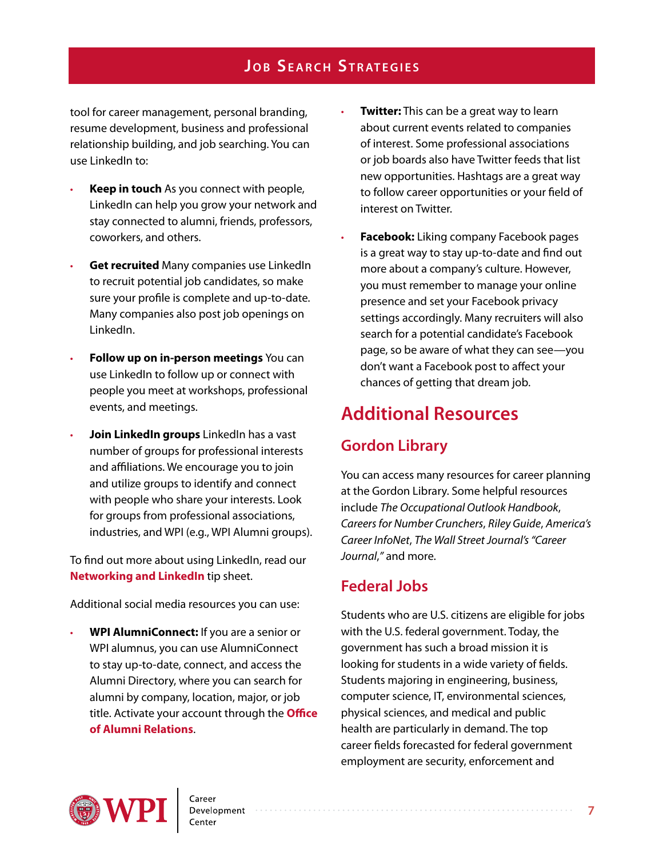tool for career management, personal branding, resume development, business and professional relationship building, and job searching. You can use LinkedIn to:

- **Keep in touch** As you connect with people, LinkedIn can help you grow your network and stay connected to alumni, friends, professors, coworkers, and others.
- **Get recruited** Many companies use LinkedIn to recruit potential job candidates, so make sure your profile is complete and up-to-date. Many companies also post job openings on LinkedIn.
- **Follow up on in-person meetings** You can use LinkedIn to follow up or connect with people you meet at workshops, professional events, and meetings.
- **Join LinkedIn groups** LinkedIn has a vast number of groups for professional interests and affiliations. We encourage you to join and utilize groups to identify and connect with people who share your interests. Look for groups from professional associations, industries, and WPI (e.g., WPI Alumni groups).

To find out more about using LinkedIn, read our **[Networking and LinkedIn](http://www.wpi.edu/Images/CMS/CDC/Networking-LinkedIn.pdf)** tip sheet.

Additional social media resources you can use:

• **WPI AlumniConnect:** If you are a senior or WPI alumnus, you can use AlumniConnect to stay up-to-date, connect, and access the Alumni Directory, where you can search for alumni by company, location, major, or job title. Activate your account through the **[Office](https://www.wpi.edu/alumni/) [of Alumni Relations](https://www.wpi.edu/alumni/)**.

- **Twitter:** This can be a great way to learn about current events related to companies of interest. Some professional associations or job boards also have Twitter feeds that list new opportunities. Hashtags are a great way to follow career opportunities or your field of interest on Twitter.
- **Facebook:** Liking company Facebook pages is a great way to stay up-to-date and find out more about a company's culture. However, you must remember to manage your online presence and set your Facebook privacy settings accordingly. Many recruiters will also search for a potential candidate's Facebook page, so be aware of what they can see—you don't want a Facebook post to affect your chances of getting that dream job.

# **Additional Resources**

# **Gordon Library**

You can access many resources for career planning at the Gordon Library. Some helpful resources include *The Occupational Outlook Handbook*, *Careers for Number Crunchers*, *Riley Guide*, *America's Career InfoNet*, *The Wall Street Journal's "Career Journal*,*"* and more.

# **Federal Jobs**

Students who are U.S. citizens are eligible for jobs with the U.S. federal government. Today, the government has such a broad mission it is looking for students in a wide variety of fields. Students majoring in engineering, business, computer science, IT, environmental sciences, physical sciences, and medical and public health are particularly in demand. The top career fields forecasted for federal government employment are security, enforcement and



Development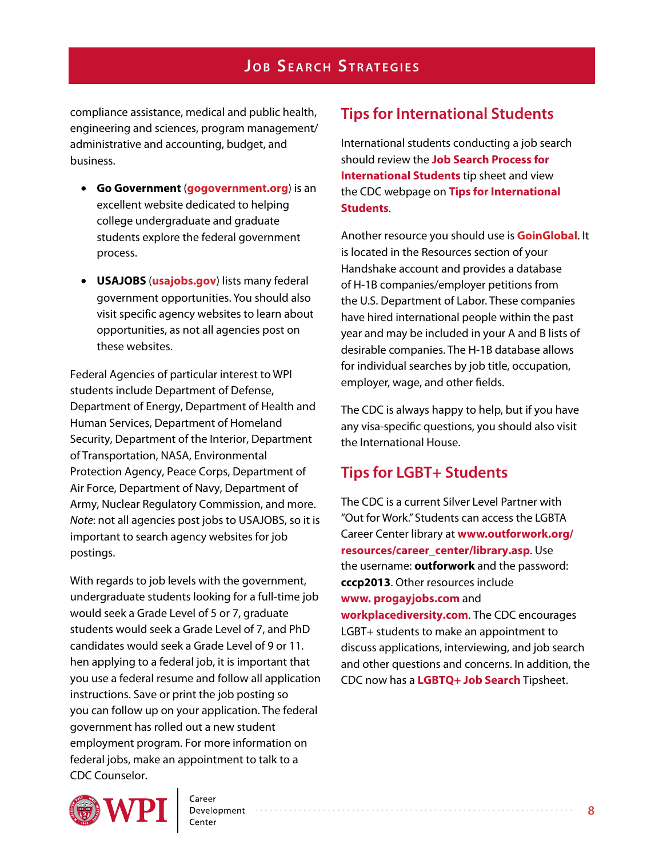compliance assistance, medical and public health, engineering and sciences, program management/ administrative and accounting, budget, and business.

- **Go Government** (**<gogovernment.org>**) is an excellent website dedicated to helping college undergraduate and graduate students explore the federal government process.
- **USAJOBS** (**<usajobs.gov>**) lists many federal government opportunities. You should also visit specific agency websites to learn about opportunities, as not all agencies post on these websites.

Federal Agencies of particular interest to WPI students include Department of Defense, Department of Energy, Department of Health and Human Services, Department of Homeland Security, Department of the Interior, Department of Transportation, NASA, Environmental Protection Agency, Peace Corps, Department of Air Force, Department of Navy, Department of Army, Nuclear Regulatory Commission, and more. *Note*: not all agencies post jobs to USAJOBS, so it is important to search agency websites for job postings.

With regards to job levels with the government, undergraduate students looking for a full-time job would seek a Grade Level of 5 or 7, graduate students would seek a Grade Level of 7, and PhD candidates would seek a Grade Level of 9 or 11. hen applying to a federal job, it is important that you use a federal resume and follow all application instructions. Save or print the job posting so you can follow up on your application. The federal government has rolled out a new student employment program. For more information on federal jobs, make an appointment to talk to a CDC Counselor.

# **Tips for International Students**

International students conducting a job search should review the **[Job Search Process for](http://www.wpi.edu/Images/CMS/CDC/Job-search-international.pdf)  [International Students](http://www.wpi.edu/Images/CMS/CDC/Job-search-international.pdf)** tip sheet and view the CDC webpage on **[Tips for International](http://www.wpi.edu/Images/CMS/CDC/Job-search-international.pdf)  [Students](http://www.wpi.edu/Images/CMS/CDC/Job-search-international.pdf)**.

Another resource you should use is **[GoinGlobal](https://wpi.joinhandshake.com/articles/1424)**. It is located in the Resources section of your Handshake account and provides a database of H-1B companies/employer petitions from the U.S. Department of Labor. These companies have hired international people within the past year and may be included in your A and B lists of desirable companies. The H-1B database allows for individual searches by job title, occupation, employer, wage, and other fields.

The CDC is always happy to help, but if you have any visa-specific questions, you should also visit the International House.

# **Tips for LGBT+ Students**

The CDC is a current Silver Level Partner with "Out for Work." Students can access the LGBTA Career Center library at **[www.outforwork.org/](http://www.outforwork.org/resources/career_center/library.asp) [resources/career\\_center/library.asp](http://www.outforwork.org/resources/career_center/library.asp)**. Use the username: **outforwork** and the password: **cccp2013**. Other resources include **[www.](http://progayjobs.com/) [progayjobs.com](http://progayjobs.com/)** and **[workplacediversity.com](http://workplacediversity.com/)**. The CDC encourages LGBT+ students to make an appointment to discuss applications, interviewing, and job search and other questions and conce[rns. In additio](http://www.wpi.edu/Images/CMS/CDC/LGBTQPlus_and_Job_Search.pdf)n, the CDC now has a **LGBTQ+ Job [Search](http://www.wpi.edu/Images/CMS/CDC/LGBTQPlus_and_Job_Search.pdf)** Tipsheet.



Development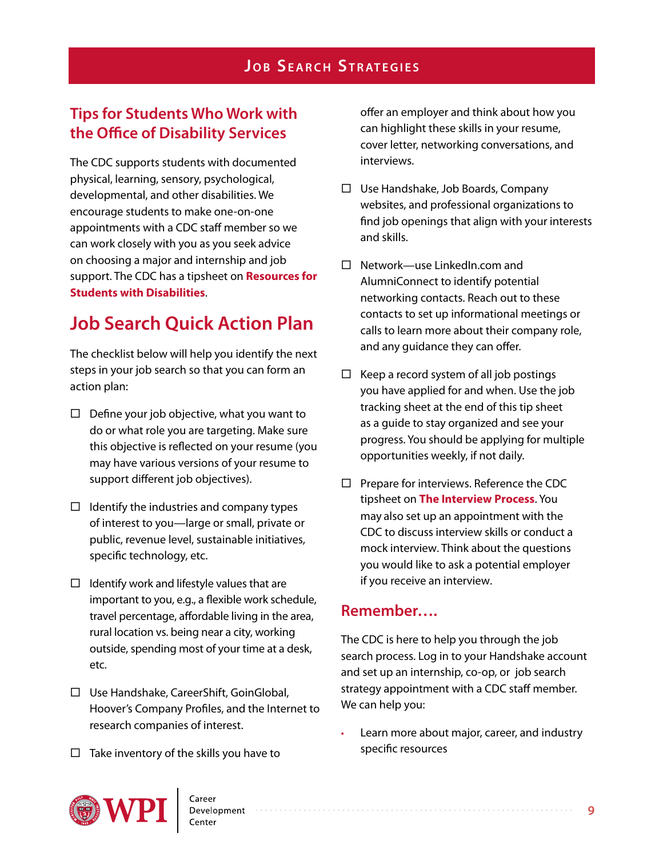# **Tips for Students Who Work with the Office of Disability Services**

The CDC supports students with documented physical, learning, sensory, psychological, developmental, and other disabilities. We encourage students to make one-on-one appointments with a CDC staff member so we can work closely with you as you seek advice on choosing a major and internship and job support. The CDC has a tipsheet on **[Resources for](http://www.wpi.edu/Images/CMS/CDC/CDC_Tipsheets_2016_ResourcesForStudentsWithDisabilities.pdf)  [Students with Disabilities](http://www.wpi.edu/Images/CMS/CDC/CDC_Tipsheets_2016_ResourcesForStudentsWithDisabilities.pdf)**.

# **Job Search Quick Action Plan**

The checklist below will help you identify the next steps in your job search so that you can form an action plan:

- $\Box$  Define your job objective, what you want to do or what role you are targeting. Make sure this objective is reflected on your resume (you may have various versions of your resume to support different job objectives).
- $\Box$  Identify the industries and company types of interest to you—large or small, private or public, revenue level, sustainable initiatives, specific technology, etc.
- $\Box$  Identify work and lifestyle values that are important to you, e.g., a flexible work schedule, travel percentage, affordable living in the area, rural location vs. being near a city, working outside, spending most of your time at a desk, etc.
- Use Handshake, CareerShift, GoinGlobal, Hoover's Company Profiles, and the Internet to research companies of interest.
- $\Box$  Take inventory of the skills you have to

offer an employer and think about how you can highlight these skills in your resume, cover letter, networking conversations, and interviews.

- $\Box$  Use Handshake, Job Boards, Company websites, and professional organizations to find job openings that align with your interests and skills.
- $\Box$  Network—use LinkedIn.com and AlumniConnect to identify potential networking contacts. Reach out to these contacts to set up informational meetings or calls to learn more about their company role, and any guidance they can offer.
- $\Box$  Keep a record system of all job postings you have applied for and when. Use the job tracking sheet at the end of this tip sheet as a guide to stay organized and see your progress. You should be applying for multiple opportunities weekly, if not daily.
- $\Box$  Prepare for interviews. Reference the CDC tipsheet on **[The Interview Process](http://www.wpi.edu/Images/CMS/CDC/Interviews.pdf)**. You may also set up an appointment with the CDC to discuss interview skills or conduct a mock interview. Think about the questions you would like to ask a potential employer if you receive an interview.

# **Remember….**

The CDC is here to help you through the job search process. Log in to your Handshake account and set up an internship, co-op, or job search strategy appointment with a CDC staff member. We can help you:

• Learn more about major, career, and industry specific resources

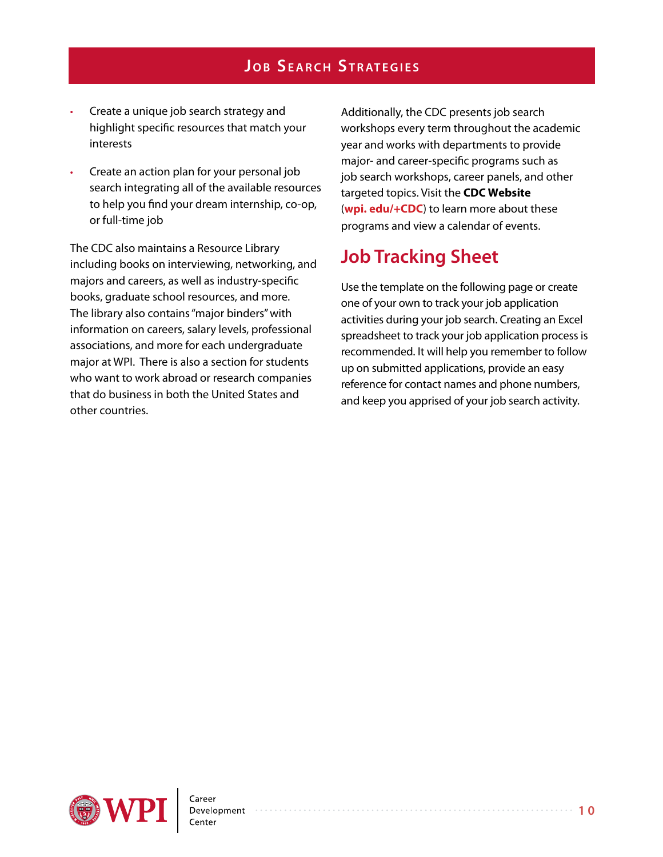- Create a unique job search strategy and highlight specific resources that match your interests
- Create an action plan for your personal job search integrating all of the available resources to help you find your dream internship, co-op, or full-time job

The CDC also maintains a Resource Library including books on interviewing, networking, and majors and careers, as well as industry-specific books, graduate school resources, and more. The library also contains "major binders" with information on careers, salary levels, professional associations, and more for each undergraduate major at WPI. There is also a section for students who want to work abroad or research companies that do business in both the United States and other countries.

Additionally, the CDC presents job search workshops every term throughout the academic year and works with departments to provide major- and career-specific programs such as job search workshops, career panels, and other targeted topics. Visit the **[CDC Website](http://www.wpi.edu/Admin/CDC/index.html)** (**[wpi. edu/+CDC](wpi.edu/+cdc)**) to learn more about these programs and view a calendar of events.

# **Job Tracking Sheet**

Use the template on the following page or create one of your own to track your job application activities during your job search. Creating an Excel spreadsheet to track your job application process is recommended. It will help you remember to follow up on submitted applications, provide an easy reference for contact names and phone numbers, and keep you apprised of your job search activity.